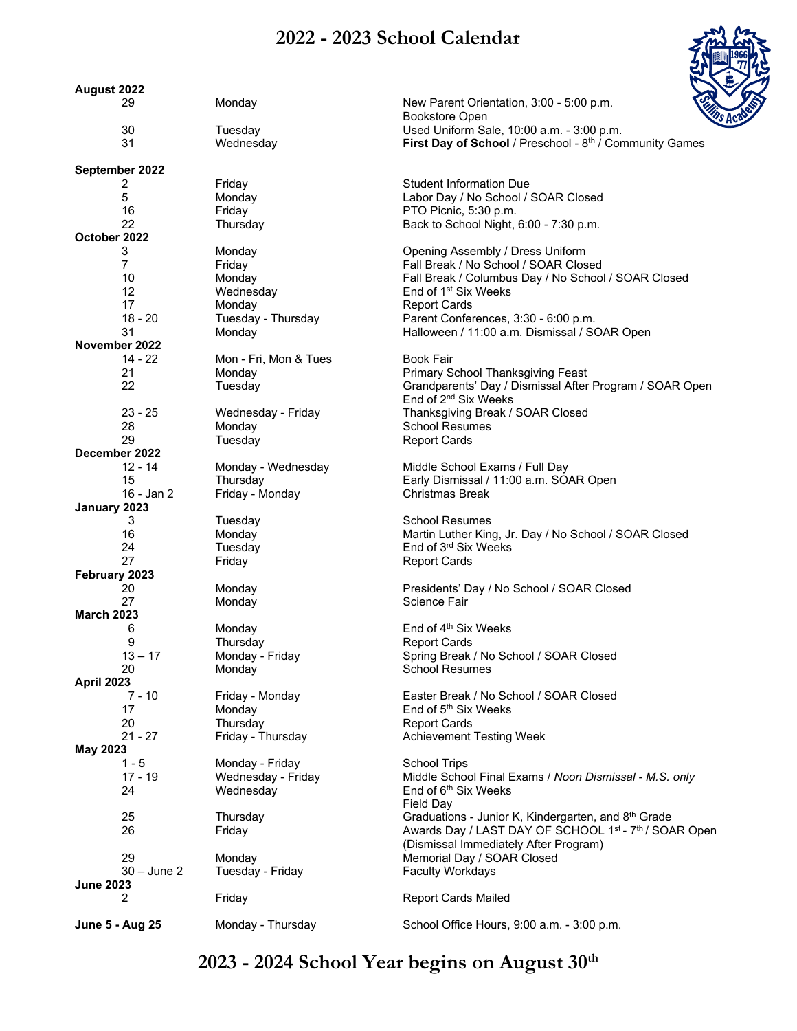## **2022 - 2023 School Calendar**



| August 2022            |                       |                                                                    |
|------------------------|-----------------------|--------------------------------------------------------------------|
| 29                     | Monday                | <b>To Shine</b><br>New Parent Orientation, 3:00 - 5:00 p.m.        |
| 30                     | Tuesday               | <b>Bookstore Open</b><br>Used Uniform Sale, 10:00 a.m. - 3:00 p.m. |
| 31                     | Wednesday             | First Day of School / Preschool - 8th / Community Games            |
|                        |                       |                                                                    |
| September 2022         |                       |                                                                    |
| 2                      | Friday                | <b>Student Information Due</b>                                     |
| 5                      | Monday                | Labor Day / No School / SOAR Closed                                |
| 16                     | Friday                | PTO Picnic, 5:30 p.m.                                              |
| 22                     | Thursday              | Back to School Night, 6:00 - 7:30 p.m.                             |
| October 2022           |                       |                                                                    |
| 3                      | Monday                | Opening Assembly / Dress Uniform                                   |
| 7                      | Friday                | Fall Break / No School / SOAR Closed                               |
| 10                     | Monday                | Fall Break / Columbus Day / No School / SOAR Closed                |
| 12                     | Wednesday             | End of 1 <sup>st</sup> Six Weeks                                   |
| 17                     | Monday                | <b>Report Cards</b>                                                |
| 18 - 20                | Tuesday - Thursday    | Parent Conferences, 3:30 - 6:00 p.m.                               |
| 31                     | Monday                | Halloween / 11:00 a.m. Dismissal / SOAR Open                       |
| November 2022          |                       |                                                                    |
| $14 - 22$              | Mon - Fri, Mon & Tues | <b>Book Fair</b>                                                   |
| 21                     | Monday                | Primary School Thanksgiving Feast                                  |
| 22                     | Tuesday               | Grandparents' Day / Dismissal After Program / SOAR Open            |
|                        |                       | End of 2 <sup>nd</sup> Six Weeks                                   |
| $23 - 25$              |                       |                                                                    |
|                        | Wednesday - Friday    | Thanksgiving Break / SOAR Closed<br><b>School Resumes</b>          |
| 28                     | Monday                |                                                                    |
| 29                     | Tuesday               | <b>Report Cards</b>                                                |
| December 2022          |                       |                                                                    |
| 12 - 14                | Monday - Wednesday    | Middle School Exams / Full Day                                     |
| 15                     | Thursday              | Early Dismissal / 11:00 a.m. SOAR Open                             |
| 16 - Jan 2             | Friday - Monday       | <b>Christmas Break</b>                                             |
| January 2023           |                       |                                                                    |
| 3                      | Tuesday               | <b>School Resumes</b>                                              |
| 16                     | Monday                | Martin Luther King, Jr. Day / No School / SOAR Closed              |
| 24                     | Tuesday               | End of 3rd Six Weeks                                               |
| 27                     | Friday                | <b>Report Cards</b>                                                |
| February 2023          |                       |                                                                    |
| 20                     | Monday                | Presidents' Day / No School / SOAR Closed                          |
| 27                     | Monday                | Science Fair                                                       |
| <b>March 2023</b>      |                       |                                                                    |
| 6                      | Monday                | End of 4 <sup>th</sup> Six Weeks                                   |
| 9                      | Thursday              | <b>Report Cards</b>                                                |
| $13 - 17$              | Monday - Friday       | Spring Break / No School / SOAR Closed                             |
| 20                     | Monday                | School Resumes                                                     |
| <b>April 2023</b>      |                       |                                                                    |
| $7 - 10$               | Friday - Monday       | Easter Break / No School / SOAR Closed                             |
| 17                     | Monday                | End of 5 <sup>th</sup> Six Weeks                                   |
| 20                     | Thursday              | <b>Report Cards</b>                                                |
| $21 - 27$              | Friday - Thursday     |                                                                    |
|                        |                       | <b>Achievement Testing Week</b>                                    |
| May 2023               |                       |                                                                    |
| $1 - 5$                | Monday - Friday       | <b>School Trips</b>                                                |
| $17 - 19$              | Wednesday - Friday    | Middle School Final Exams / Noon Dismissal - M.S. only             |
| 24                     | Wednesday             | End of 6 <sup>th</sup> Six Weeks                                   |
|                        |                       | Field Day                                                          |
| 25                     | Thursday              | Graduations - Junior K, Kindergarten, and 8th Grade                |
| 26                     | Friday                | Awards Day / LAST DAY OF SCHOOL 1st - 7th / SOAR Open              |
|                        |                       | (Dismissal Immediately After Program)                              |
| 29                     | Monday                | Memorial Day / SOAR Closed                                         |
| $30 - June 2$          | Tuesday - Friday      | <b>Faculty Workdays</b>                                            |
| <b>June 2023</b>       |                       |                                                                    |
| $\overline{c}$         | Friday                | <b>Report Cards Mailed</b>                                         |
|                        |                       |                                                                    |
| <b>June 5 - Aug 25</b> | Monday - Thursday     | School Office Hours, 9:00 a.m. - 3:00 p.m.                         |

## **2023 - 2024 School Year begins on August 30th**